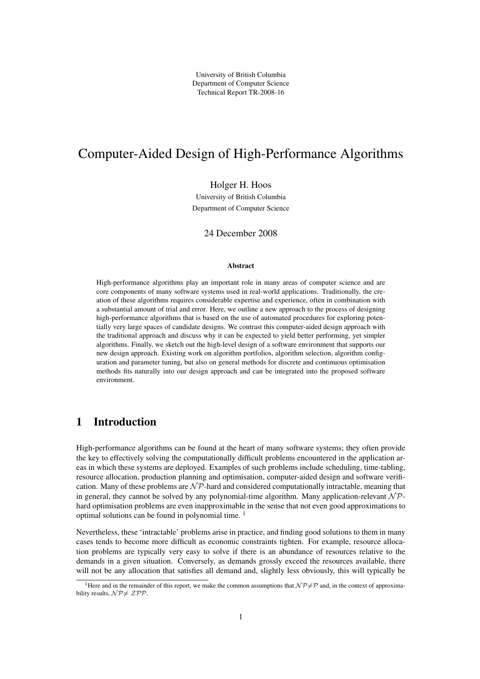University of British Columbia Department of Computer Science Technical Report TR-2008-16

# Computer-Aided Design of High-Performance Algorithms

Holger H. Hoos

University of British Columbia Department of Computer Science

24 December 2008

#### Abstract

High-performance algorithms play an important role in many areas of computer science and are core components of many software systems used in real-world applications. Traditionally, the creation of these algorithms requires considerable expertise and experience, often in combination with a substantial amount of trial and error. Here, we outline a new approach to the process of designing high-performance algorithms that is based on the use of automated procedures for exploring potentially very large spaces of candidate designs. We contrast this computer-aided design approach with the traditional approach and discuss why it can be expected to yield better performing, yet simpler algorithms. Finally, we sketch out the high-level design of a software environment that supports our new design approach. Existing work on algorithm portfolios, algorithm selection, algorithm configuration and parameter tuning, but also on general methods for discrete and continuous optimisation methods fits naturally into our design approach and can be integrated into the proposed software environment.

# 1 Introduction

High-performance algorithms can be found at the heart of many software systems; they often provide the key to effectively solving the computationally difficult problems encountered in the application areas in which these systems are deployed. Examples of such problems include scheduling, time-tabling, resource allocation, production planning and optimisation, computer-aided design and software verification. Many of these problems are  $\mathcal{NP}$ -hard and considered computationally intractable, meaning that in general, they cannot be solved by any polynomial-time algorithm. Many application-relevant  $N\mathcal{P}$ hard optimisation problems are even inapproximable in the sense that not even good approximations to optimal solutions can be found in polynomial time. <sup>1</sup>

Nevertheless, these 'intractable' problems arise in practice, and finding good solutions to them in many cases tends to become more difficult as economic constraints tighten. For example, resource allocation problems are typically very easy to solve if there is an abundance of resources relative to the demands in a given situation. Conversely, as demands grossly exceed the resources available, there will not be any allocation that satisfies all demand and, slightly less obviously, this will typically be

<sup>&</sup>lt;sup>1</sup>Here and in the remainder of this report, we make the common assumptions that  $N\mathcal{P}\neq\mathcal{P}$  and, in the context of approximability results,  $\mathcal{NP}\neq \mathcal{ZPP}$ .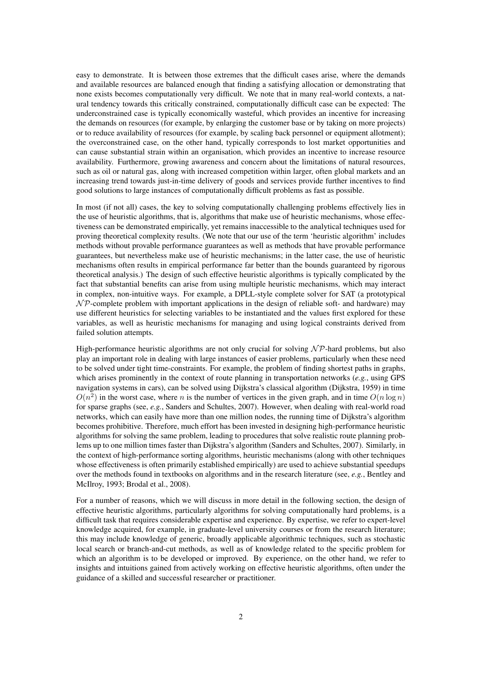easy to demonstrate. It is between those extremes that the difficult cases arise, where the demands and available resources are balanced enough that finding a satisfying allocation or demonstrating that none exists becomes computationally very difficult. We note that in many real-world contexts, a natural tendency towards this critically constrained, computationally difficult case can be expected: The underconstrained case is typically economically wasteful, which provides an incentive for increasing the demands on resources (for example, by enlarging the customer base or by taking on more projects) or to reduce availability of resources (for example, by scaling back personnel or equipment allotment); the overconstrained case, on the other hand, typically corresponds to lost market opportunities and can cause substantial strain within an organisation, which provides an incentive to increase resource availability. Furthermore, growing awareness and concern about the limitations of natural resources, such as oil or natural gas, along with increased competition within larger, often global markets and an increasing trend towards just-in-time delivery of goods and services provide further incentives to find good solutions to large instances of computationally difficult problems as fast as possible.

In most (if not all) cases, the key to solving computationally challenging problems effectively lies in the use of heuristic algorithms, that is, algorithms that make use of heuristic mechanisms, whose effectiveness can be demonstrated empirically, yet remains inaccessible to the analytical techniques used for proving theoretical complexity results. (We note that our use of the term 'heuristic algorithm' includes methods without provable performance guarantees as well as methods that have provable performance guarantees, but nevertheless make use of heuristic mechanisms; in the latter case, the use of heuristic mechanisms often results in empirical performance far better than the bounds guaranteed by rigorous theoretical analysis.) The design of such effective heuristic algorithms is typically complicated by the fact that substantial benefits can arise from using multiple heuristic mechanisms, which may interact in complex, non-intuitive ways. For example, a DPLL-style complete solver for SAT (a prototypical  $N$ P-complete problem with important applications in the design of reliable soft- and hardware) may use different heuristics for selecting variables to be instantiated and the values first explored for these variables, as well as heuristic mechanisms for managing and using logical constraints derived from failed solution attempts.

High-performance heuristic algorithms are not only crucial for solving  $N \mathcal{P}$ -hard problems, but also play an important role in dealing with large instances of easier problems, particularly when these need to be solved under tight time-constraints. For example, the problem of finding shortest paths in graphs, which arises prominently in the context of route planning in transportation networks (*e.g.*, using GPS navigation systems in cars), can be solved using Dijkstra's classical algorithm (Dijkstra, 1959) in time  $O(n^2)$  in the worst case, where n is the number of vertices in the given graph, and in time  $O(n \log n)$ for sparse graphs (see, *e.g.*, Sanders and Schultes, 2007). However, when dealing with real-world road networks, which can easily have more than one million nodes, the running time of Dijkstra's algorithm becomes prohibitive. Therefore, much effort has been invested in designing high-performance heuristic algorithms for solving the same problem, leading to procedures that solve realistic route planning problems up to one million times faster than Dijkstra's algorithm (Sanders and Schultes, 2007). Similarly, in the context of high-performance sorting algorithms, heuristic mechanisms (along with other techniques whose effectiveness is often primarily established empirically) are used to achieve substantial speedups over the methods found in textbooks on algorithms and in the research literature (see, *e.g.*, Bentley and McIlroy, 1993; Brodal et al., 2008).

For a number of reasons, which we will discuss in more detail in the following section, the design of effective heuristic algorithms, particularly algorithms for solving computationally hard problems, is a difficult task that requires considerable expertise and experience. By expertise, we refer to expert-level knowledge acquired, for example, in graduate-level university courses or from the research literature; this may include knowledge of generic, broadly applicable algorithmic techniques, such as stochastic local search or branch-and-cut methods, as well as of knowledge related to the specific problem for which an algorithm is to be developed or improved. By experience, on the other hand, we refer to insights and intuitions gained from actively working on effective heuristic algorithms, often under the guidance of a skilled and successful researcher or practitioner.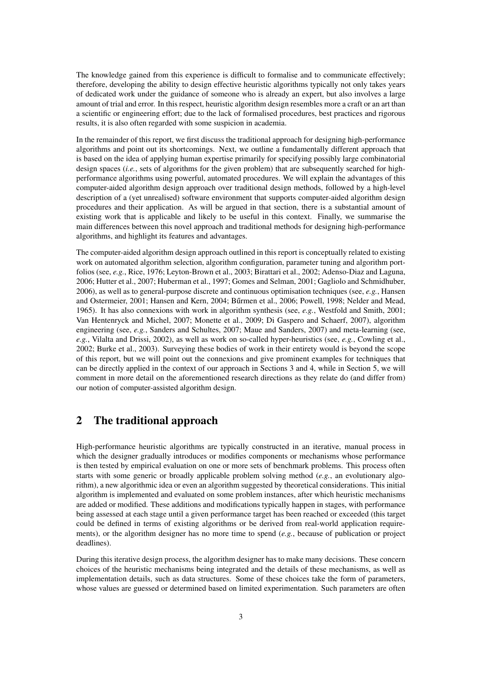The knowledge gained from this experience is difficult to formalise and to communicate effectively; therefore, developing the ability to design effective heuristic algorithms typically not only takes years of dedicated work under the guidance of someone who is already an expert, but also involves a large amount of trial and error. In this respect, heuristic algorithm design resembles more a craft or an art than a scientific or engineering effort; due to the lack of formalised procedures, best practices and rigorous results, it is also often regarded with some suspicion in academia.

In the remainder of this report, we first discuss the traditional approach for designing high-performance algorithms and point out its shortcomings. Next, we outline a fundamentally different approach that is based on the idea of applying human expertise primarily for specifying possibly large combinatorial design spaces (*i.e.*, sets of algorithms for the given problem) that are subsequently searched for highperformance algorithms using powerful, automated procedures. We will explain the advantages of this computer-aided algorithm design approach over traditional design methods, followed by a high-level description of a (yet unrealised) software environment that supports computer-aided algorithm design procedures and their application. As will be argued in that section, there is a substantial amount of existing work that is applicable and likely to be useful in this context. Finally, we summarise the main differences between this novel approach and traditional methods for designing high-performance algorithms, and highlight its features and advantages.

The computer-aided algorithm design approach outlined in this report is conceptually related to existing work on automated algorithm selection, algorithm configuration, parameter tuning and algorithm portfolios (see, *e.g.*, Rice, 1976; Leyton-Brown et al., 2003; Birattari et al., 2002; Adenso-Diaz and Laguna, 2006; Hutter et al., 2007; Huberman et al., 1997; Gomes and Selman, 2001; Gagliolo and Schmidhuber, 2006), as well as to general-purpose discrete and continuous optimisation techniques (see, *e.g.*, Hansen and Ostermeier, 2001; Hansen and Kern, 2004; Bűrmen et al., 2006; Powell, 1998; Nelder and Mead, 1965). It has also connexions with work in algorithm synthesis (see, *e.g.*, Westfold and Smith, 2001; Van Hentenryck and Michel, 2007; Monette et al., 2009; Di Gaspero and Schaerf, 2007), algorithm engineering (see, *e.g.*, Sanders and Schultes, 2007; Maue and Sanders, 2007) and meta-learning (see, *e.g.*, Vilalta and Drissi, 2002), as well as work on so-called hyper-heuristics (see, *e.g.*, Cowling et al., 2002; Burke et al., 2003). Surveying these bodies of work in their entirety would is beyond the scope of this report, but we will point out the connexions and give prominent examples for techniques that can be directly applied in the context of our approach in Sections 3 and 4, while in Section 5, we will comment in more detail on the aforementioned research directions as they relate do (and differ from) our notion of computer-assisted algorithm design.

## 2 The traditional approach

High-performance heuristic algorithms are typically constructed in an iterative, manual process in which the designer gradually introduces or modifies components or mechanisms whose performance is then tested by empirical evaluation on one or more sets of benchmark problems. This process often starts with some generic or broadly applicable problem solving method (*e.g.*, an evolutionary algorithm), a new algorithmic idea or even an algorithm suggested by theoretical considerations. This initial algorithm is implemented and evaluated on some problem instances, after which heuristic mechanisms are added or modified. These additions and modifications typically happen in stages, with performance being assessed at each stage until a given performance target has been reached or exceeded (this target could be defined in terms of existing algorithms or be derived from real-world application requirements), or the algorithm designer has no more time to spend (*e.g.*, because of publication or project deadlines).

During this iterative design process, the algorithm designer has to make many decisions. These concern choices of the heuristic mechanisms being integrated and the details of these mechanisms, as well as implementation details, such as data structures. Some of these choices take the form of parameters, whose values are guessed or determined based on limited experimentation. Such parameters are often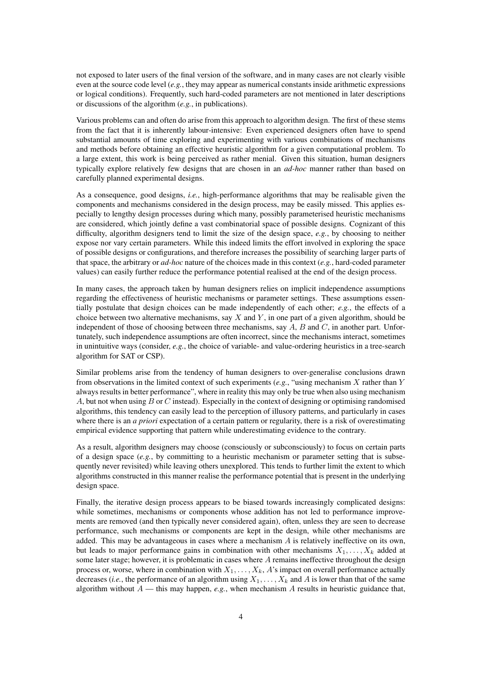not exposed to later users of the final version of the software, and in many cases are not clearly visible even at the source code level (*e.g.*, they may appear as numerical constants inside arithmetic expressions or logical conditions). Frequently, such hard-coded parameters are not mentioned in later descriptions or discussions of the algorithm (*e.g.*, in publications).

Various problems can and often do arise from this approach to algorithm design. The first of these stems from the fact that it is inherently labour-intensive: Even experienced designers often have to spend substantial amounts of time exploring and experimenting with various combinations of mechanisms and methods before obtaining an effective heuristic algorithm for a given computational problem. To a large extent, this work is being perceived as rather menial. Given this situation, human designers typically explore relatively few designs that are chosen in an *ad-hoc* manner rather than based on carefully planned experimental designs.

As a consequence, good designs, *i.e.*, high-performance algorithms that may be realisable given the components and mechanisms considered in the design process, may be easily missed. This applies especially to lengthy design processes during which many, possibly parameterised heuristic mechanisms are considered, which jointly define a vast combinatorial space of possible designs. Cognizant of this difficulty, algorithm designers tend to limit the size of the design space, *e.g.*, by choosing to neither expose nor vary certain parameters. While this indeed limits the effort involved in exploring the space of possible designs or configurations, and therefore increases the possibility of searching larger parts of that space, the arbitrary or *ad-hoc* nature of the choices made in this context (*e.g.*, hard-coded parameter values) can easily further reduce the performance potential realised at the end of the design process.

In many cases, the approach taken by human designers relies on implicit independence assumptions regarding the effectiveness of heuristic mechanisms or parameter settings. These assumptions essentially postulate that design choices can be made independently of each other; *e.g.*, the effects of a choice between two alternative mechanisms, say  $X$  and  $Y$ , in one part of a given algorithm, should be independent of those of choosing between three mechanisms, say  $A$ ,  $B$  and  $C$ , in another part. Unfortunately, such independence assumptions are often incorrect, since the mechanisms interact, sometimes in unintuitive ways (consider, *e.g.*, the choice of variable- and value-ordering heuristics in a tree-search algorithm for SAT or CSP).

Similar problems arise from the tendency of human designers to over-generalise conclusions drawn from observations in the limited context of such experiments (*e.g.*, "using mechanism X rather than Y always results in better performance", where in reality this may only be true when also using mechanism A, but not when using  $B$  or  $C$  instead). Especially in the context of designing or optimising randomised algorithms, this tendency can easily lead to the perception of illusory patterns, and particularly in cases where there is an *a priori* expectation of a certain pattern or regularity, there is a risk of overestimating empirical evidence supporting that pattern while underestimating evidence to the contrary.

As a result, algorithm designers may choose (consciously or subconsciously) to focus on certain parts of a design space (*e.g.*, by committing to a heuristic mechanism or parameter setting that is subsequently never revisited) while leaving others unexplored. This tends to further limit the extent to which algorithms constructed in this manner realise the performance potential that is present in the underlying design space.

Finally, the iterative design process appears to be biased towards increasingly complicated designs: while sometimes, mechanisms or components whose addition has not led to performance improvements are removed (and then typically never considered again), often, unless they are seen to decrease performance, such mechanisms or components are kept in the design, while other mechanisms are added. This may be advantageous in cases where a mechanism  $A$  is relatively ineffective on its own, but leads to major performance gains in combination with other mechanisms  $X_1, \ldots, X_k$  added at some later stage; however, it is problematic in cases where  $A$  remains ineffective throughout the design process or, worse, where in combination with  $X_1, \ldots, X_k$ , A's impact on overall performance actually decreases (*i.e.*, the performance of an algorithm using  $X_1, \ldots, X_k$  and A is lower than that of the same algorithm without  $A$  — this may happen, *e.g.*, when mechanism A results in heuristic guidance that,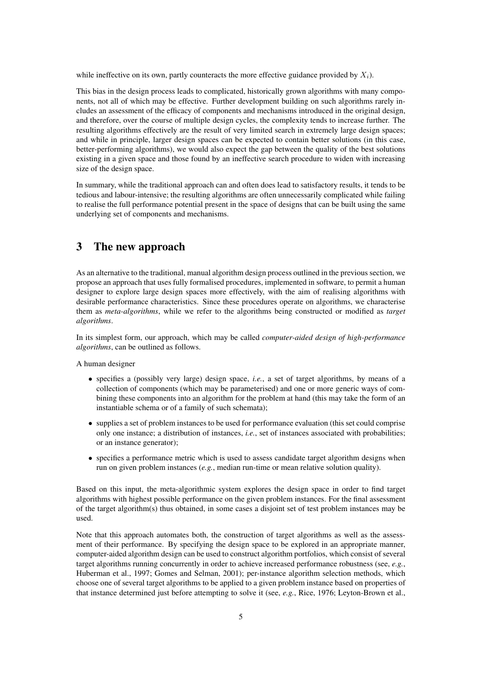while ineffective on its own, partly counteracts the more effective guidance provided by  $X_i$ ).

This bias in the design process leads to complicated, historically grown algorithms with many components, not all of which may be effective. Further development building on such algorithms rarely includes an assessment of the efficacy of components and mechanisms introduced in the original design, and therefore, over the course of multiple design cycles, the complexity tends to increase further. The resulting algorithms effectively are the result of very limited search in extremely large design spaces; and while in principle, larger design spaces can be expected to contain better solutions (in this case, better-performing algorithms), we would also expect the gap between the quality of the best solutions existing in a given space and those found by an ineffective search procedure to widen with increasing size of the design space.

In summary, while the traditional approach can and often does lead to satisfactory results, it tends to be tedious and labour-intensive; the resulting algorithms are often unnecessarily complicated while failing to realise the full performance potential present in the space of designs that can be built using the same underlying set of components and mechanisms.

### 3 The new approach

As an alternative to the traditional, manual algorithm design process outlined in the previous section, we propose an approach that uses fully formalised procedures, implemented in software, to permit a human designer to explore large design spaces more effectively, with the aim of realising algorithms with desirable performance characteristics. Since these procedures operate on algorithms, we characterise them as *meta-algorithms*, while we refer to the algorithms being constructed or modified as *target algorithms*.

In its simplest form, our approach, which may be called *computer-aided design of high-performance algorithms*, can be outlined as follows.

A human designer

- specifies a (possibly very large) design space, *i.e.*, a set of target algorithms, by means of a collection of components (which may be parameterised) and one or more generic ways of combining these components into an algorithm for the problem at hand (this may take the form of an instantiable schema or of a family of such schemata);
- supplies a set of problem instances to be used for performance evaluation (this set could comprise only one instance; a distribution of instances, *i.e.*, set of instances associated with probabilities; or an instance generator);
- specifies a performance metric which is used to assess candidate target algorithm designs when run on given problem instances (*e.g.*, median run-time or mean relative solution quality).

Based on this input, the meta-algorithmic system explores the design space in order to find target algorithms with highest possible performance on the given problem instances. For the final assessment of the target algorithm(s) thus obtained, in some cases a disjoint set of test problem instances may be used.

Note that this approach automates both, the construction of target algorithms as well as the assessment of their performance. By specifying the design space to be explored in an appropriate manner, computer-aided algorithm design can be used to construct algorithm portfolios, which consist of several target algorithms running concurrently in order to achieve increased performance robustness (see, *e.g.*, Huberman et al., 1997; Gomes and Selman, 2001); per-instance algorithm selection methods, which choose one of several target algorithms to be applied to a given problem instance based on properties of that instance determined just before attempting to solve it (see, *e.g.*, Rice, 1976; Leyton-Brown et al.,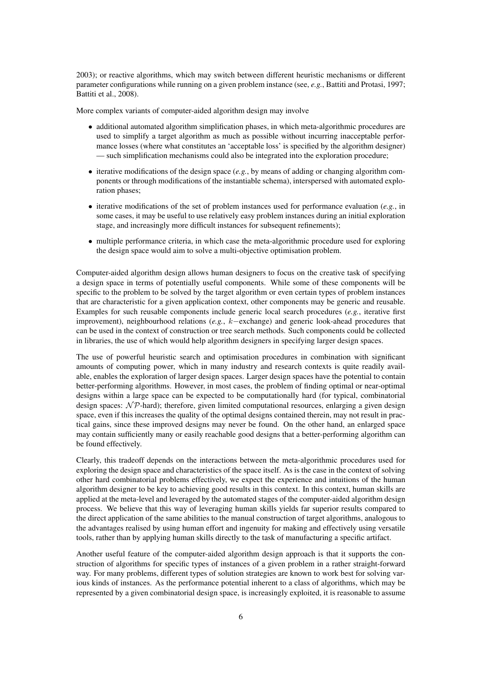2003); or reactive algorithms, which may switch between different heuristic mechanisms or different parameter configurations while running on a given problem instance (see, *e.g.*, Battiti and Protasi, 1997; Battiti et al., 2008).

More complex variants of computer-aided algorithm design may involve

- additional automated algorithm simplification phases, in which meta-algorithmic procedures are used to simplify a target algorithm as much as possible without incurring inacceptable performance losses (where what constitutes an 'acceptable loss' is specified by the algorithm designer) — such simplification mechanisms could also be integrated into the exploration procedure;
- iterative modifications of the design space (*e.g.*, by means of adding or changing algorithm components or through modifications of the instantiable schema), interspersed with automated exploration phases;
- iterative modifications of the set of problem instances used for performance evaluation (*e.g.*, in some cases, it may be useful to use relatively easy problem instances during an initial exploration stage, and increasingly more difficult instances for subsequent refinements);
- multiple performance criteria, in which case the meta-algorithmic procedure used for exploring the design space would aim to solve a multi-objective optimisation problem.

Computer-aided algorithm design allows human designers to focus on the creative task of specifying a design space in terms of potentially useful components. While some of these components will be specific to the problem to be solved by the target algorithm or even certain types of problem instances that are characteristic for a given application context, other components may be generic and reusable. Examples for such reusable components include generic local search procedures (*e.g.*, iterative first improvement), neighbourhood relations (*e.g.*, k−exchange) and generic look-ahead procedures that can be used in the context of construction or tree search methods. Such components could be collected in libraries, the use of which would help algorithm designers in specifying larger design spaces.

The use of powerful heuristic search and optimisation procedures in combination with significant amounts of computing power, which in many industry and research contexts is quite readily available, enables the exploration of larger design spaces. Larger design spaces have the potential to contain better-performing algorithms. However, in most cases, the problem of finding optimal or near-optimal designs within a large space can be expected to be computationally hard (for typical, combinatorial design spaces:  $N\mathcal{P}$ -hard); therefore, given limited computational resources, enlarging a given design space, even if this increases the quality of the optimal designs contained therein, may not result in practical gains, since these improved designs may never be found. On the other hand, an enlarged space may contain sufficiently many or easily reachable good designs that a better-performing algorithm can be found effectively.

Clearly, this tradeoff depends on the interactions between the meta-algorithmic procedures used for exploring the design space and characteristics of the space itself. As is the case in the context of solving other hard combinatorial problems effectively, we expect the experience and intuitions of the human algorithm designer to be key to achieving good results in this context. In this context, human skills are applied at the meta-level and leveraged by the automated stages of the computer-aided algorithm design process. We believe that this way of leveraging human skills yields far superior results compared to the direct application of the same abilities to the manual construction of target algorithms, analogous to the advantages realised by using human effort and ingenuity for making and effectively using versatile tools, rather than by applying human skills directly to the task of manufacturing a specific artifact.

Another useful feature of the computer-aided algorithm design approach is that it supports the construction of algorithms for specific types of instances of a given problem in a rather straight-forward way. For many problems, different types of solution strategies are known to work best for solving various kinds of instances. As the performance potential inherent to a class of algorithms, which may be represented by a given combinatorial design space, is increasingly exploited, it is reasonable to assume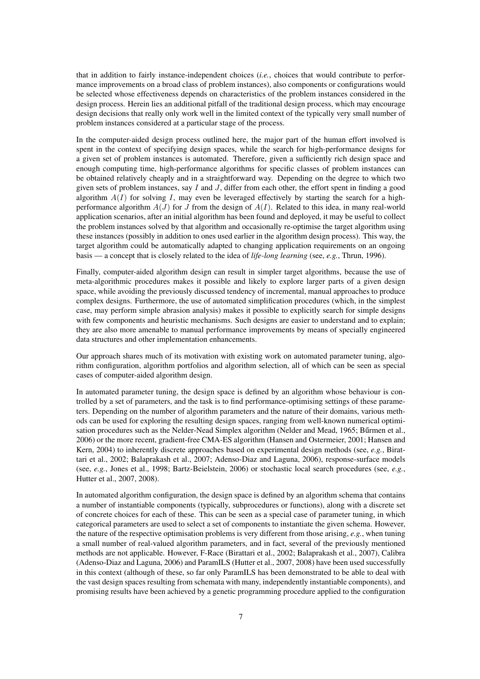that in addition to fairly instance-independent choices (*i.e.*, choices that would contribute to performance improvements on a broad class of problem instances), also components or configurations would be selected whose effectiveness depends on characteristics of the problem instances considered in the design process. Herein lies an additional pitfall of the traditional design process, which may encourage design decisions that really only work well in the limited context of the typically very small number of problem instances considered at a particular stage of the process.

In the computer-aided design process outlined here, the major part of the human effort involved is spent in the context of specifying design spaces, while the search for high-performance designs for a given set of problem instances is automated. Therefore, given a sufficiently rich design space and enough computing time, high-performance algorithms for specific classes of problem instances can be obtained relatively cheaply and in a straightforward way. Depending on the degree to which two given sets of problem instances, say  $I$  and  $J$ , differ from each other, the effort spent in finding a good algorithm  $A(I)$  for solving I, may even be leveraged effectively by starting the search for a highperformance algorithm  $A(J)$  for J from the design of  $A(I)$ . Related to this idea, in many real-world application scenarios, after an initial algorithm has been found and deployed, it may be useful to collect the problem instances solved by that algorithm and occasionally re-optimise the target algorithm using these instances (possibly in addition to ones used earlier in the algorithm design process). This way, the target algorithm could be automatically adapted to changing application requirements on an ongoing basis — a concept that is closely related to the idea of *life-long learning* (see, *e.g.*, Thrun, 1996).

Finally, computer-aided algorithm design can result in simpler target algorithms, because the use of meta-algorithmic procedures makes it possible and likely to explore larger parts of a given design space, while avoiding the previously discussed tendency of incremental, manual approaches to produce complex designs. Furthermore, the use of automated simplification procedures (which, in the simplest case, may perform simple abrasion analysis) makes it possible to explicitly search for simple designs with few components and heuristic mechanisms. Such designs are easier to understand and to explain; they are also more amenable to manual performance improvements by means of specially engineered data structures and other implementation enhancements.

Our approach shares much of its motivation with existing work on automated parameter tuning, algorithm configuration, algorithm portfolios and algorithm selection, all of which can be seen as special cases of computer-aided algorithm design.

In automated parameter tuning, the design space is defined by an algorithm whose behaviour is controlled by a set of parameters, and the task is to find performance-optimising settings of these parameters. Depending on the number of algorithm parameters and the nature of their domains, various methods can be used for exploring the resulting design spaces, ranging from well-known numerical optimisation procedures such as the Nelder-Nead Simplex algorithm (Nelder and Mead, 1965; Bűrmen et al., 2006) or the more recent, gradient-free CMA-ES algorithm (Hansen and Ostermeier, 2001; Hansen and Kern, 2004) to inherently discrete approaches based on experimental design methods (see, *e.g.*, Birattari et al., 2002; Balaprakash et al., 2007; Adenso-Diaz and Laguna, 2006), response-surface models (see, *e.g.*, Jones et al., 1998; Bartz-Beielstein, 2006) or stochastic local search procedures (see, *e.g.*, Hutter et al., 2007, 2008).

In automated algorithm configuration, the design space is defined by an algorithm schema that contains a number of instantiable components (typically, subprocedures or functions), along with a discrete set of concrete choices for each of these. This can be seen as a special case of parameter tuning, in which categorical parameters are used to select a set of components to instantiate the given schema. However, the nature of the respective optimisation problems is very different from those arising, *e.g.*, when tuning a small number of real-valued algorithm parameters, and in fact, several of the previously mentioned methods are not applicable. However, F-Race (Birattari et al., 2002; Balaprakash et al., 2007), Calibra (Adenso-Diaz and Laguna, 2006) and ParamILS (Hutter et al., 2007, 2008) have been used successfully in this context (although of these, so far only ParamILS has been demonstrated to be able to deal with the vast design spaces resulting from schemata with many, independently instantiable components), and promising results have been achieved by a genetic programming procedure applied to the configuration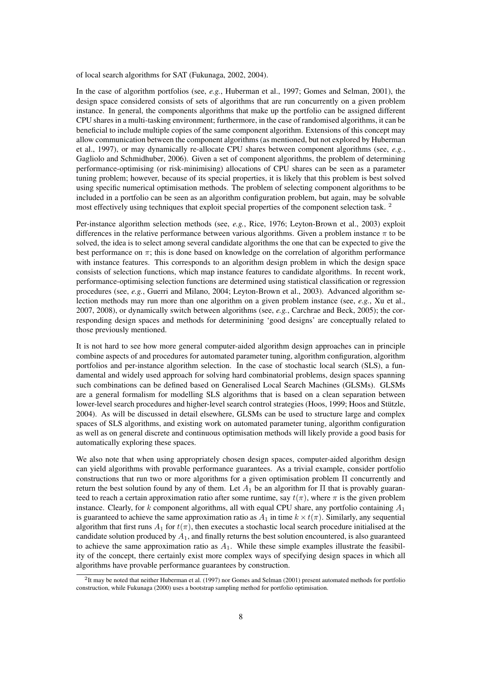of local search algorithms for SAT (Fukunaga, 2002, 2004).

In the case of algorithm portfolios (see, *e.g.*, Huberman et al., 1997; Gomes and Selman, 2001), the design space considered consists of sets of algorithms that are run concurrently on a given problem instance. In general, the components algorithms that make up the portfolio can be assigned different CPU shares in a multi-tasking environment; furthermore, in the case of randomised algorithms, it can be beneficial to include multiple copies of the same component algorithm. Extensions of this concept may allow communication between the component algorithms (as mentioned, but not explored by Huberman et al., 1997), or may dynamically re-allocate CPU shares between component algorithms (see, *e.g.*, Gagliolo and Schmidhuber, 2006). Given a set of component algorithms, the problem of determining performance-optimising (or risk-minimising) allocations of CPU shares can be seen as a parameter tuning problem; however, because of its special properties, it is likely that this problem is best solved using specific numerical optimisation methods. The problem of selecting component algorithms to be included in a portfolio can be seen as an algorithm configuration problem, but again, may be solvable most effectively using techniques that exploit special properties of the component selection task. <sup>2</sup>

Per-instance algorithm selection methods (see, *e.g.*, Rice, 1976; Leyton-Brown et al., 2003) exploit differences in the relative performance between various algorithms. Given a problem instance  $\pi$  to be solved, the idea is to select among several candidate algorithms the one that can be expected to give the best performance on  $\pi$ ; this is done based on knowledge on the correlation of algorithm performance with instance features. This corresponds to an algorithm design problem in which the design space consists of selection functions, which map instance features to candidate algorithms. In recent work, performance-optimising selection functions are determined using statistical classification or regression procedures (see, *e.g.*, Guerri and Milano, 2004; Leyton-Brown et al., 2003). Advanced algorithm selection methods may run more than one algorithm on a given problem instance (see, *e.g.*, Xu et al., 2007, 2008), or dynamically switch between algorithms (see, *e.g.*, Carchrae and Beck, 2005); the corresponding design spaces and methods for determinining 'good designs' are conceptually related to those previously mentioned.

It is not hard to see how more general computer-aided algorithm design approaches can in principle combine aspects of and procedures for automated parameter tuning, algorithm configuration, algorithm portfolios and per-instance algorithm selection. In the case of stochastic local search (SLS), a fundamental and widely used approach for solving hard combinatorial problems, design spaces spanning such combinations can be defined based on Generalised Local Search Machines (GLSMs). GLSMs are a general formalism for modelling SLS algorithms that is based on a clean separation between lower-level search procedures and higher-level search control strategies (Hoos, 1999; Hoos and Stützle, 2004). As will be discussed in detail elsewhere, GLSMs can be used to structure large and complex spaces of SLS algorithms, and existing work on automated parameter tuning, algorithm configuration as well as on general discrete and continuous optimisation methods will likely provide a good basis for automatically exploring these spaces.

We also note that when using appropriately chosen design spaces, computer-aided algorithm design can yield algorithms with provable performance guarantees. As a trivial example, consider portfolio constructions that run two or more algorithms for a given optimisation problem Π concurrently and return the best solution found by any of them. Let  $A_1$  be an algorithm for  $\Pi$  that is provably guaranteed to reach a certain approximation ratio after some runtime, say  $t(\pi)$ , where  $\pi$  is the given problem instance. Clearly, for k component algorithms, all with equal CPU share, any portfolio containing  $A_1$ is guaranteed to achieve the same approximation ratio as  $A_1$  in time  $k \times t(\pi)$ . Similarly, any sequential algorithm that first runs  $A_1$  for  $t(\pi)$ , then executes a stochastic local search procedure initialised at the candidate solution produced by  $A_1$ , and finally returns the best solution encountered, is also guaranteed to achieve the same approximation ratio as  $A_1$ . While these simple examples illustrate the feasibility of the concept, there certainly exist more complex ways of specifying design spaces in which all algorithms have provable performance guarantees by construction.

<sup>2</sup> It may be noted that neither Huberman et al. (1997) nor Gomes and Selman (2001) present automated methods for portfolio construction, while Fukunaga (2000) uses a bootstrap sampling method for portfolio optimisation.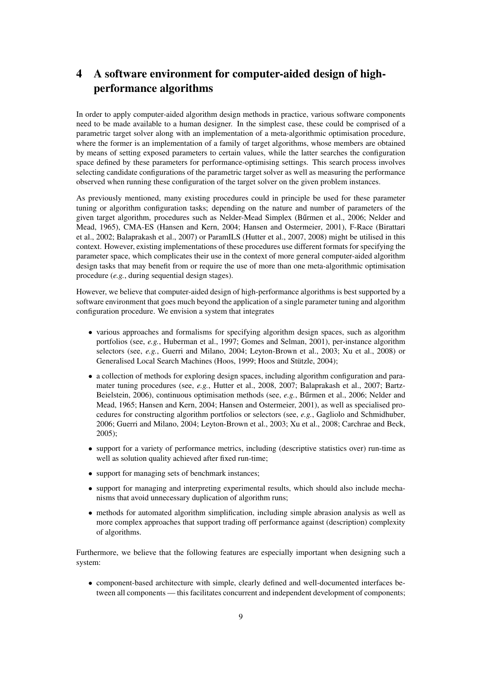# 4 A software environment for computer-aided design of highperformance algorithms

In order to apply computer-aided algorithm design methods in practice, various software components need to be made available to a human designer. In the simplest case, these could be comprised of a parametric target solver along with an implementation of a meta-algorithmic optimisation procedure, where the former is an implementation of a family of target algorithms, whose members are obtained by means of setting exposed parameters to certain values, while the latter searches the configuration space defined by these parameters for performance-optimising settings. This search process involves selecting candidate configurations of the parametric target solver as well as measuring the performance observed when running these configuration of the target solver on the given problem instances.

As previously mentioned, many existing procedures could in principle be used for these parameter tuning or algorithm configuration tasks; depending on the nature and number of parameters of the given target algorithm, procedures such as Nelder-Mead Simplex (Bűrmen et al., 2006; Nelder and Mead, 1965), CMA-ES (Hansen and Kern, 2004; Hansen and Ostermeier, 2001), F-Race (Birattari et al., 2002; Balaprakash et al., 2007) or ParamILS (Hutter et al., 2007, 2008) might be utilised in this context. However, existing implementations of these procedures use different formats for specifying the parameter space, which complicates their use in the context of more general computer-aided algorithm design tasks that may benefit from or require the use of more than one meta-algorithmic optimisation procedure (*e.g.*, during sequential design stages).

However, we believe that computer-aided design of high-performance algorithms is best supported by a software environment that goes much beyond the application of a single parameter tuning and algorithm configuration procedure. We envision a system that integrates

- various approaches and formalisms for specifying algorithm design spaces, such as algorithm portfolios (see, *e.g.*, Huberman et al., 1997; Gomes and Selman, 2001), per-instance algorithm selectors (see, *e.g.*, Guerri and Milano, 2004; Leyton-Brown et al., 2003; Xu et al., 2008) or Generalised Local Search Machines (Hoos, 1999; Hoos and Stützle, 2004);
- a collection of methods for exploring design spaces, including algorithm configuration and paramater tuning procedures (see, *e.g.*, Hutter et al., 2008, 2007; Balaprakash et al., 2007; Bartz-Beielstein, 2006), continuous optimisation methods (see, *e.g.*, Burmen et al., 2006; Nelder and Mead, 1965; Hansen and Kern, 2004; Hansen and Ostermeier, 2001), as well as specialised procedures for constructing algorithm portfolios or selectors (see, *e.g.*, Gagliolo and Schmidhuber, 2006; Guerri and Milano, 2004; Leyton-Brown et al., 2003; Xu et al., 2008; Carchrae and Beck, 2005);
- support for a variety of performance metrics, including (descriptive statistics over) run-time as well as solution quality achieved after fixed run-time;
- support for managing sets of benchmark instances;
- support for managing and interpreting experimental results, which should also include mechanisms that avoid unnecessary duplication of algorithm runs;
- methods for automated algorithm simplification, including simple abrasion analysis as well as more complex approaches that support trading off performance against (description) complexity of algorithms.

Furthermore, we believe that the following features are especially important when designing such a system:

• component-based architecture with simple, clearly defined and well-documented interfaces between all components — this facilitates concurrent and independent development of components;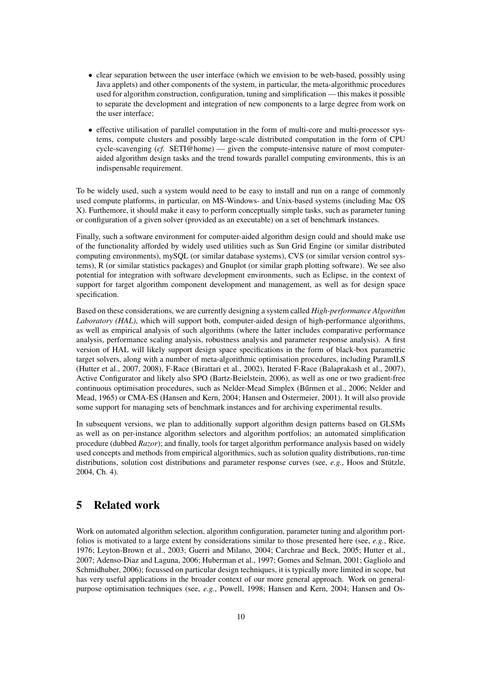- clear separation between the user interface (which we envision to be web-based, possibly using Java applets) and other components of the system, in particular, the meta-algorithmic procedures used for algorithm construction, configuration, tuning and simplification — this makes it possible to separate the development and integration of new components to a large degree from work on the user interface;
- effective utilisation of parallel computation in the form of multi-core and multi-processor systems, compute clusters and possibly large-scale distributed computation in the form of CPU cycle-scavenging (*cf.* SETI@home) — given the compute-intensive nature of most computeraided algorithm design tasks and the trend towards parallel computing environments, this is an indispensable requirement.

To be widely used, such a system would need to be easy to install and run on a range of commonly used compute platforms, in particular, on MS-Windows- and Unix-based systems (including Mac OS X). Furthemore, it should make it easy to perform conceptually simple tasks, such as parameter tuning or configuration of a given solver (provided as an executable) on a set of benchmark instances.

Finally, such a software environment for computer-aided algorithm design could and should make use of the functionality afforded by widely used utilities such as Sun Grid Engine (or similar distributed computing environments), mySQL (or similar database systems), CVS (or similar version control systems), R (or similar statistics packages) and Gnuplot (or similar graph plotting software). We see also potential for integration with software development environments, such as Eclipse, in the context of support for target algorithm component development and management, as well as for design space specification.

Based on these considerations, we are currently designing a system called *High-performance Algorithm Laboratory (HAL)*, which will support both, computer-aided design of high-performance algorithms, as well as empirical analysis of such algorithms (where the latter includes comparative performance analysis, performance scaling analysis, robustness analysis and parameter response analysis). A first version of HAL will likely support design space specifications in the form of black-box parametric target solvers, along with a number of meta-algorithmic optimisation procedures, including ParamILS (Hutter et al., 2007, 2008), F-Race (Birattari et al., 2002), Iterated F-Race (Balaprakash et al., 2007), Active Configurator and likely also SPO (Bartz-Beielstein, 2006), as well as one or two gradient-free continuous optimisation procedures, such as Nelder-Mead Simplex (Burmen et al., 2006; Nelder and Mead, 1965) or CMA-ES (Hansen and Kern, 2004; Hansen and Ostermeier, 2001). It will also provide some support for managing sets of benchmark instances and for archiving experimental results.

In subsequent versions, we plan to additionally support algorithm design patterns based on GLSMs as well as on per-instance algorithm selectors and algorithm portfolios; an automated simplification procedure (dubbed *Razor*); and finally, tools for target algorithm performance analysis based on widely used concepts and methods from empirical algorithmics, such as solution quality distributions, run-time distributions, solution cost distributions and parameter response curves (see, *e.g.*, Hoos and Stützle, 2004, Ch. 4).

## 5 Related work

Work on automated algorithm selection, algorithm configuration, parameter tuning and algorithm portfolios is motivated to a large extent by considerations similar to those presented here (see, *e.g.*, Rice, 1976; Leyton-Brown et al., 2003; Guerri and Milano, 2004; Carchrae and Beck, 2005; Hutter et al., 2007; Adenso-Diaz and Laguna, 2006; Huberman et al., 1997; Gomes and Selman, 2001; Gagliolo and Schmidhuber, 2006); focussed on particular design techniques, it is typically more limited in scope, but has very useful applications in the broader context of our more general approach. Work on generalpurpose optimisation techniques (see, *e.g.*, Powell, 1998; Hansen and Kern, 2004; Hansen and Os-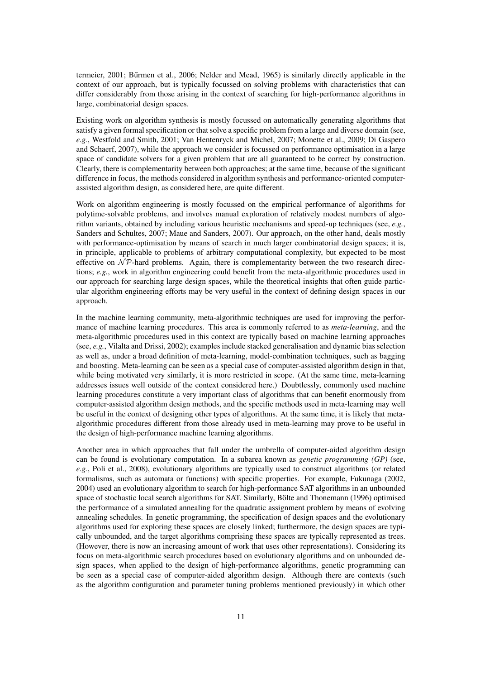termeier, 2001; Bűrmen et al., 2006; Nelder and Mead, 1965) is similarly directly applicable in the context of our approach, but is typically focussed on solving problems with characteristics that can differ considerably from those arising in the context of searching for high-performance algorithms in large, combinatorial design spaces.

Existing work on algorithm synthesis is mostly focussed on automatically generating algorithms that satisfy a given formal specification or that solve a specific problem from a large and diverse domain (see, *e.g.*, Westfold and Smith, 2001; Van Hentenryck and Michel, 2007; Monette et al., 2009; Di Gaspero and Schaerf, 2007), while the approach we consider is focussed on performance optimisation in a large space of candidate solvers for a given problem that are all guaranteed to be correct by construction. Clearly, there is complementarity between both approaches; at the same time, because of the significant difference in focus, the methods considered in algorithm synthesis and performance-oriented computerassisted algorithm design, as considered here, are quite different.

Work on algorithm engineering is mostly focussed on the empirical performance of algorithms for polytime-solvable problems, and involves manual exploration of relatively modest numbers of algorithm variants, obtained by including various heuristic mechanisms and speed-up techniques (see, *e.g.*, Sanders and Schultes, 2007; Maue and Sanders, 2007). Our approach, on the other hand, deals mostly with performance-optimisation by means of search in much larger combinatorial design spaces; it is, in principle, applicable to problems of arbitrary computational complexity, but expected to be most effective on  $\mathcal{NP}$ -hard problems. Again, there is complementarity between the two research directions; *e.g.*, work in algorithm engineering could benefit from the meta-algorithmic procedures used in our approach for searching large design spaces, while the theoretical insights that often guide particular algorithm engineering efforts may be very useful in the context of defining design spaces in our approach.

In the machine learning community, meta-algorithmic techniques are used for improving the performance of machine learning procedures. This area is commonly referred to as *meta-learning*, and the meta-algorithmic procedures used in this context are typically based on machine learning approaches (see, *e.g.*, Vilalta and Drissi, 2002); examples include stacked generalisation and dynamic bias selection as well as, under a broad definition of meta-learning, model-combination techniques, such as bagging and boosting. Meta-learning can be seen as a special case of computer-assisted algorithm design in that, while being motivated very similarly, it is more restricted in scope. (At the same time, meta-learning addresses issues well outside of the context considered here.) Doubtlessly, commonly used machine learning procedures constitute a very important class of algorithms that can benefit enormously from computer-assisted algorithm design methods, and the specific methods used in meta-learning may well be useful in the context of designing other types of algorithms. At the same time, it is likely that metaalgorithmic procedures different from those already used in meta-learning may prove to be useful in the design of high-performance machine learning algorithms.

Another area in which approaches that fall under the umbrella of computer-aided algorithm design can be found is evolutionary computation. In a subarea known as *genetic programming (GP)* (see, *e.g.*, Poli et al., 2008), evolutionary algorithms are typically used to construct algorithms (or related formalisms, such as automata or functions) with specific properties. For example, Fukunaga (2002, 2004) used an evolutionary algorithm to search for high-performance SAT algorithms in an unbounded space of stochastic local search algorithms for SAT. Similarly, Bölte and Thonemann (1996) optimised the performance of a simulated annealing for the quadratic assignment problem by means of evolving annealing schedules. In genetic programming, the specification of design spaces and the evolutionary algorithms used for exploring these spaces are closely linked; furthermore, the design spaces are typically unbounded, and the target algorithms comprising these spaces are typically represented as trees. (However, there is now an increasing amount of work that uses other representations). Considering its focus on meta-algorithmic search procedures based on evolutionary algorithms and on unbounded design spaces, when applied to the design of high-performance algorithms, genetic programming can be seen as a special case of computer-aided algorithm design. Although there are contexts (such as the algorithm configuration and parameter tuning problems mentioned previously) in which other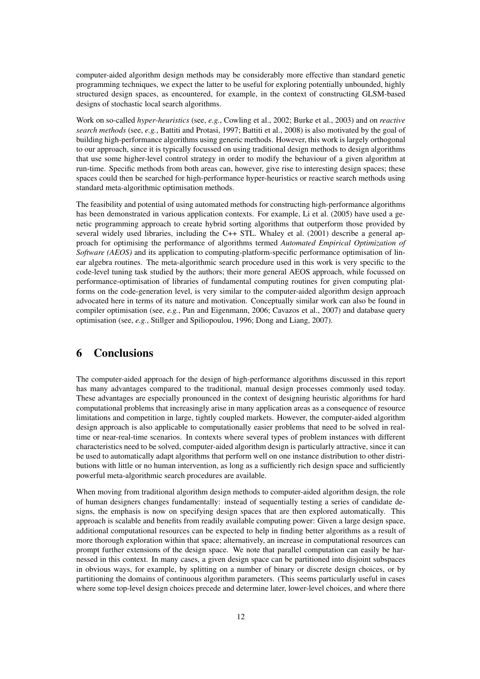computer-aided algorithm design methods may be considerably more effective than standard genetic programming techniques, we expect the latter to be useful for exploring potentially unbounded, highly structured design spaces, as encountered, for example, in the context of constructing GLSM-based designs of stochastic local search algorithms.

Work on so-called *hyper-heuristics* (see, *e.g.*, Cowling et al., 2002; Burke et al., 2003) and on *reactive search methods* (see, *e.g.*, Battiti and Protasi, 1997; Battiti et al., 2008) is also motivated by the goal of building high-performance algorithms using generic methods. However, this work is largely orthogonal to our approach, since it is typically focussed on using traditional design methods to design algorithms that use some higher-level control strategy in order to modify the behaviour of a given algorithm at run-time. Specific methods from both areas can, however, give rise to interesting design spaces; these spaces could then be searched for high-performance hyper-heuristics or reactive search methods using standard meta-algorithmic optimisation methods.

The feasibility and potential of using automated methods for constructing high-performance algorithms has been demonstrated in various application contexts. For example, Li et al. (2005) have used a genetic programming approach to create hybrid sorting algorithms that outperform those provided by several widely used libraries, including the C++ STL. Whaley et al. (2001) describe a general approach for optimising the performance of algorithms termed *Automated Empirical Optimization of Software (AEOS)* and its application to computing-platform-specific performance optimisation of linear algebra routines. The meta-algorithmic search procedure used in this work is very specific to the code-level tuning task studied by the authors; their more general AEOS approach, while focussed on performance-optimisation of libraries of fundamental computing routines for given computing platforms on the code-generation level, is very similar to the computer-aided algorithm design approach advocated here in terms of its nature and motivation. Conceptually similar work can also be found in compiler optimisation (see, *e.g.*, Pan and Eigenmann, 2006; Cavazos et al., 2007) and database query optimisation (see, *e.g.*, Stillger and Spiliopoulou, 1996; Dong and Liang, 2007).

#### 6 Conclusions

The computer-aided approach for the design of high-performance algorithms discussed in this report has many advantages compared to the traditional, manual design processes commonly used today. These advantages are especially pronounced in the context of designing heuristic algorithms for hard computational problems that increasingly arise in many application areas as a consequence of resource limitations and competition in large, tightly coupled markets. However, the computer-aided algorithm design approach is also applicable to computationally easier problems that need to be solved in realtime or near-real-time scenarios. In contexts where several types of problem instances with different characteristics need to be solved, computer-aided algorithm design is particularly attractive, since it can be used to automatically adapt algorithms that perform well on one instance distribution to other distributions with little or no human intervention, as long as a sufficiently rich design space and sufficiently powerful meta-algorithmic search procedures are available.

When moving from traditional algorithm design methods to computer-aided algorithm design, the role of human designers changes fundamentally: instead of sequentially testing a series of candidate designs, the emphasis is now on specifying design spaces that are then explored automatically. This approach is scalable and benefits from readily available computing power: Given a large design space, additional computational resources can be expected to help in finding better algorithms as a result of more thorough exploration within that space; alternatively, an increase in computational resources can prompt further extensions of the design space. We note that parallel computation can easily be harnessed in this context. In many cases, a given design space can be partitioned into disjoint subspaces in obvious ways, for example, by splitting on a number of binary or discrete design choices, or by partitioning the domains of continuous algorithm parameters. (This seems particularly useful in cases where some top-level design choices precede and determine later, lower-level choices, and where there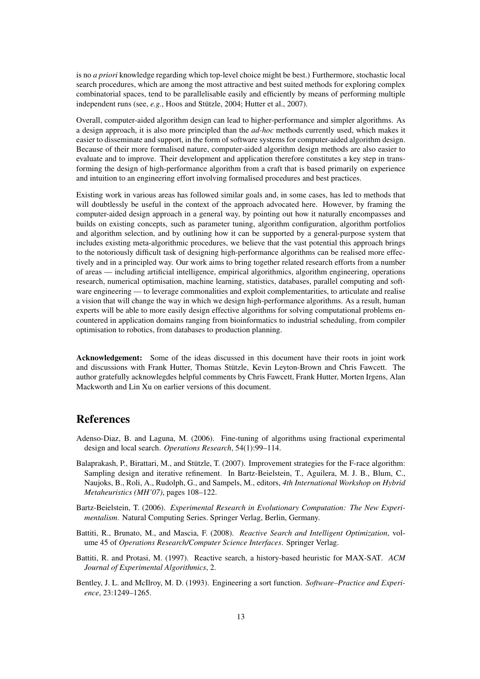is no *a priori* knowledge regarding which top-level choice might be best.) Furthermore, stochastic local search procedures, which are among the most attractive and best suited methods for exploring complex combinatorial spaces, tend to be parallelisable easily and efficiently by means of performing multiple independent runs (see, *e.g.*, Hoos and Stützle, 2004; Hutter et al., 2007).

Overall, computer-aided algorithm design can lead to higher-performance and simpler algorithms. As a design approach, it is also more principled than the *ad-hoc* methods currently used, which makes it easier to disseminate and support, in the form of software systems for computer-aided algorithm design. Because of their more formalised nature, computer-aided algorithm design methods are also easier to evaluate and to improve. Their development and application therefore constitutes a key step in transforming the design of high-performance algorithm from a craft that is based primarily on experience and intuition to an engineering effort involving formalised procedures and best practices.

Existing work in various areas has followed similar goals and, in some cases, has led to methods that will doubtlessly be useful in the context of the approach advocated here. However, by framing the computer-aided design approach in a general way, by pointing out how it naturally encompasses and builds on existing concepts, such as parameter tuning, algorithm configuration, algorithm portfolios and algorithm selection, and by outlining how it can be supported by a general-purpose system that includes existing meta-algorithmic procedures, we believe that the vast potential this approach brings to the notoriously difficult task of designing high-performance algorithms can be realised more effectively and in a principled way. Our work aims to bring together related research efforts from a number of areas — including artificial intelligence, empirical algorithmics, algorithm engineering, operations research, numerical optimisation, machine learning, statistics, databases, parallel computing and software engineering — to leverage commonalities and exploit complementarities, to articulate and realise a vision that will change the way in which we design high-performance algorithms. As a result, human experts will be able to more easily design effective algorithms for solving computational problems encountered in application domains ranging from bioinformatics to industrial scheduling, from compiler optimisation to robotics, from databases to production planning.

Acknowledgement: Some of the ideas discussed in this document have their roots in joint work and discussions with Frank Hutter, Thomas Stützle, Kevin Leyton-Brown and Chris Fawcett. The author gratefully acknowlegdes helpful comments by Chris Fawcett, Frank Hutter, Morten Irgens, Alan Mackworth and Lin Xu on earlier versions of this document.

# References

- Adenso-Diaz, B. and Laguna, M. (2006). Fine-tuning of algorithms using fractional experimental design and local search. *Operations Research*, 54(1):99–114.
- Balaprakash, P., Birattari, M., and Stützle, T. (2007). Improvement strategies for the F-race algorithm: Sampling design and iterative refinement. In Bartz-Beielstein, T., Aguilera, M. J. B., Blum, C., Naujoks, B., Roli, A., Rudolph, G., and Sampels, M., editors, *4th International Workshop on Hybrid Metaheuristics (MH'07)*, pages 108–122.
- Bartz-Beielstein, T. (2006). *Experimental Research in Evolutionary Computation: The New Experimentalism*. Natural Computing Series. Springer Verlag, Berlin, Germany.
- Battiti, R., Brunato, M., and Mascia, F. (2008). *Reactive Search and Intelligent Optimization*, volume 45 of *Operations Research/Computer Science Interfaces*. Springer Verlag.
- Battiti, R. and Protasi, M. (1997). Reactive search, a history-based heuristic for MAX-SAT. *ACM Journal of Experimental Algorithmics*, 2.
- Bentley, J. L. and McIlroy, M. D. (1993). Engineering a sort function. *Software–Practice and Experience*, 23:1249–1265.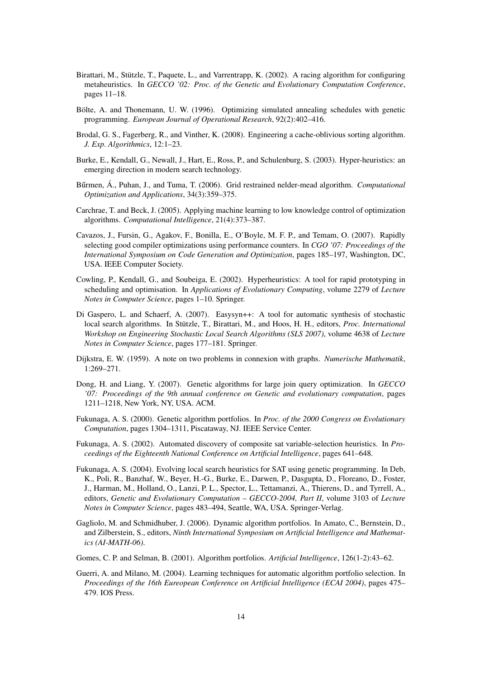- Birattari, M., Stützle, T., Paquete, L., and Varrentrapp, K. (2002). A racing algorithm for configuring metaheuristics. In *GECCO '02: Proc. of the Genetic and Evolutionary Computation Conference*, pages 11–18.
- Bölte, A. and Thonemann, U. W. (1996). Optimizing simulated annealing schedules with genetic programming. *European Journal of Operational Research*, 92(2):402–416.
- Brodal, G. S., Fagerberg, R., and Vinther, K. (2008). Engineering a cache-oblivious sorting algorithm. *J. Exp. Algorithmics*, 12:1–23.
- Burke, E., Kendall, G., Newall, J., Hart, E., Ross, P., and Schulenburg, S. (2003). Hyper-heuristics: an emerging direction in modern search technology.
- Bűrmen, Á., Puhan, J., and Tuma, T. (2006). Grid restrained nelder-mead algorithm. *Computational Optimization and Applications*, 34(3):359–375.
- Carchrae, T. and Beck, J. (2005). Applying machine learning to low knowledge control of optimization algorithms. *Computational Intelligence*, 21(4):373–387.
- Cavazos, J., Fursin, G., Agakov, F., Bonilla, E., O'Boyle, M. F. P., and Temam, O. (2007). Rapidly selecting good compiler optimizations using performance counters. In *CGO '07: Proceedings of the International Symposium on Code Generation and Optimization*, pages 185–197, Washington, DC, USA. IEEE Computer Society.
- Cowling, P., Kendall, G., and Soubeiga, E. (2002). Hyperheuristics: A tool for rapid prototyping in scheduling and optimisation. In *Applications of Evolutionary Computing*, volume 2279 of *Lecture Notes in Computer Science*, pages 1–10. Springer.
- Di Gaspero, L. and Schaerf, A. (2007). Easysyn++: A tool for automatic synthesis of stochastic local search algorithms. In Stützle, T., Birattari, M., and Hoos, H. H., editors, *Proc. International Workshop on Engineering Stochastic Local Search Algorithms (SLS 2007)*, volume 4638 of *Lecture Notes in Computer Science*, pages 177–181. Springer.
- Dijkstra, E. W. (1959). A note on two problems in connexion with graphs. *Numerische Mathematik*, 1:269–271.
- Dong, H. and Liang, Y. (2007). Genetic algorithms for large join query optimization. In *GECCO '07: Proceedings of the 9th annual conference on Genetic and evolutionary computation*, pages 1211–1218, New York, NY, USA. ACM.
- Fukunaga, A. S. (2000). Genetic algorithm portfolios. In *Proc. of the 2000 Congress on Evolutionary Computation*, pages 1304–1311, Piscataway, NJ. IEEE Service Center.
- Fukunaga, A. S. (2002). Automated discovery of composite sat variable-selection heuristics. In *Proceedings of the Eighteenth National Conference on Artificial Intelligence*, pages 641–648.
- Fukunaga, A. S. (2004). Evolving local search heuristics for SAT using genetic programming. In Deb, K., Poli, R., Banzhaf, W., Beyer, H.-G., Burke, E., Darwen, P., Dasgupta, D., Floreano, D., Foster, J., Harman, M., Holland, O., Lanzi, P. L., Spector, L., Tettamanzi, A., Thierens, D., and Tyrrell, A., editors, *Genetic and Evolutionary Computation – GECCO-2004, Part II*, volume 3103 of *Lecture Notes in Computer Science*, pages 483–494, Seattle, WA, USA. Springer-Verlag.
- Gagliolo, M. and Schmidhuber, J. (2006). Dynamic algorithm portfolios. In Amato, C., Bernstein, D., and Zilberstein, S., editors, *Ninth International Symposium on Artificial Intelligence and Mathematics (AI-MATH-06)*.
- Gomes, C. P. and Selman, B. (2001). Algorithm portfolios. *Artificial Intelligence*, 126(1-2):43–62.
- Guerri, A. and Milano, M. (2004). Learning techniques for automatic algorithm portfolio selection. In *Proceedings of the 16th Eureopean Conference on Artificial Intelligence (ECAI 2004)*, pages 475– 479. IOS Press.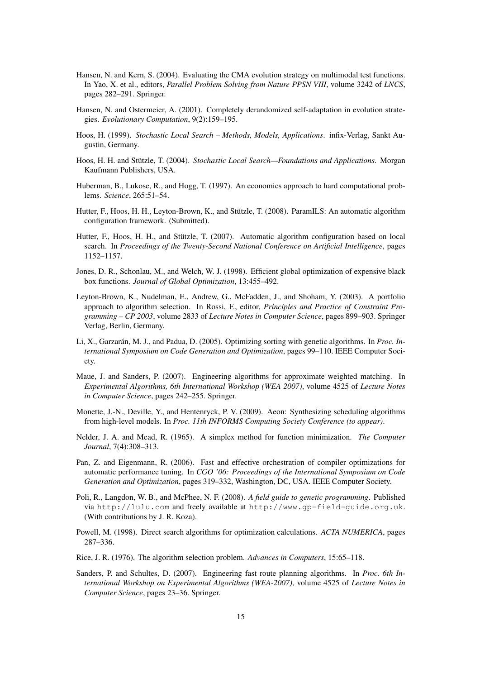- Hansen, N. and Kern, S. (2004). Evaluating the CMA evolution strategy on multimodal test functions. In Yao, X. et al., editors, *Parallel Problem Solving from Nature PPSN VIII*, volume 3242 of *LNCS*, pages 282–291. Springer.
- Hansen, N. and Ostermeier, A. (2001). Completely derandomized self-adaptation in evolution strategies. *Evolutionary Computation*, 9(2):159–195.
- Hoos, H. (1999). *Stochastic Local Search Methods, Models, Applications*. infix-Verlag, Sankt Augustin, Germany.
- Hoos, H. H. and Stützle, T. (2004). *Stochastic Local Search—Foundations and Applications*. Morgan Kaufmann Publishers, USA.
- Huberman, B., Lukose, R., and Hogg, T. (1997). An economics approach to hard computational problems. *Science*, 265:51–54.
- Hutter, F., Hoos, H. H., Leyton-Brown, K., and Stützle, T. (2008). ParamILS: An automatic algorithm configuration framework. (Submitted).
- Hutter, F., Hoos, H. H., and Stützle, T. (2007). Automatic algorithm configuration based on local search. In *Proceedings of the Twenty-Second National Conference on Artificial Intelligence*, pages 1152–1157.
- Jones, D. R., Schonlau, M., and Welch, W. J. (1998). Efficient global optimization of expensive black box functions. *Journal of Global Optimization*, 13:455–492.
- Leyton-Brown, K., Nudelman, E., Andrew, G., McFadden, J., and Shoham, Y. (2003). A portfolio approach to algorithm selection. In Rossi, F., editor, *Principles and Practice of Constraint Programming – CP 2003*, volume 2833 of *Lecture Notes in Computer Science*, pages 899–903. Springer Verlag, Berlin, Germany.
- Li, X., Garzarán, M. J., and Padua, D. (2005). Optimizing sorting with genetic algorithms. In *Proc. International Symposium on Code Generation and Optimization*, pages 99–110. IEEE Computer Society.
- Maue, J. and Sanders, P. (2007). Engineering algorithms for approximate weighted matching. In *Experimental Algorithms, 6th International Workshop (WEA 2007)*, volume 4525 of *Lecture Notes in Computer Science*, pages 242–255. Springer.
- Monette, J.-N., Deville, Y., and Hentenryck, P. V. (2009). Aeon: Synthesizing scheduling algorithms from high-level models. In *Proc. 11th INFORMS Computing Society Conference (to appear)*.
- Nelder, J. A. and Mead, R. (1965). A simplex method for function minimization. *The Computer Journal*, 7(4):308–313.
- Pan, Z. and Eigenmann, R. (2006). Fast and effective orchestration of compiler optimizations for automatic performance tuning. In *CGO '06: Proceedings of the International Symposium on Code Generation and Optimization*, pages 319–332, Washington, DC, USA. IEEE Computer Society.
- Poli, R., Langdon, W. B., and McPhee, N. F. (2008). *A field guide to genetic programming*. Published via http://lulu.com and freely available at http://www.gp-field-guide.org.uk. (With contributions by J. R. Koza).
- Powell, M. (1998). Direct search algorithms for optimization calculations. *ACTA NUMERICA*, pages 287–336.
- Rice, J. R. (1976). The algorithm selection problem. *Advances in Computers*, 15:65–118.
- Sanders, P. and Schultes, D. (2007). Engineering fast route planning algorithms. In *Proc. 6th International Workshop on Experimental Algorithms (WEA-2007)*, volume 4525 of *Lecture Notes in Computer Science*, pages 23–36. Springer.